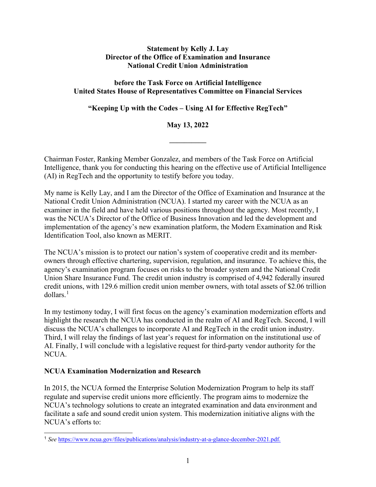#### **Statement by Kelly J. Lay Director of the Office of Examination and Insurance National Credit Union Administration**

### **before the Task Force on Artificial Intelligence United States House of Representatives Committee on Financial Services**

**"Keeping Up with the Codes – Using AI for Effective RegTech"**

# **May 13, 2022**

**––––––––––** 

Chairman Foster, Ranking Member Gonzalez, and members of the Task Force on Artificial Intelligence, thank you for conducting this hearing on the effective use of Artificial Intelligence (AI) in RegTech and the opportunity to testify before you today.

My name is Kelly Lay, and I am the Director of the Office of Examination and Insurance at the National Credit Union Administration (NCUA). I started my career with the NCUA as an examiner in the field and have held various positions throughout the agency. Most recently, I was the NCUA's Director of the Office of Business Innovation and led the development and implementation of the agency's new examination platform, the Modern Examination and Risk Identification Tool, also known as MERIT.

The NCUA's mission is to protect our nation's system of cooperative credit and its memberowners through effective chartering, supervision, regulation, and insurance. To achieve this, the agency's examination program focuses on risks to the broader system and the National Credit Union Share Insurance Fund. The credit union industry is comprised of 4,942 federally insured credit unions, with 129.6 million credit union member owners, with total assets of \$2.06 trillion dollars.[1](#page-0-0)

In my testimony today, I will first focus on the agency's examination modernization efforts and highlight the research the NCUA has conducted in the realm of AI and RegTech. Second, I will discuss the NCUA's challenges to incorporate AI and RegTech in the credit union industry. Third, I will relay the findings of last year's request for information on the institutional use of AI. Finally, I will conclude with a legislative request for third-party vendor authority for the NCUA.

### **NCUA Examination Modernization and Research**

In 2015, the NCUA formed the Enterprise Solution Modernization Program to help its staff regulate and supervise credit unions more efficiently. The program aims to modernize the NCUA's technology solutions to create an integrated examination and data environment and facilitate a safe and sound credit union system. This modernization initiative aligns with the NCUA's efforts to:

<span id="page-0-0"></span><sup>1</sup> *See* <https://www.ncua.gov/files/publications/analysis/industry-at-a-glance-december-2021.pdf.>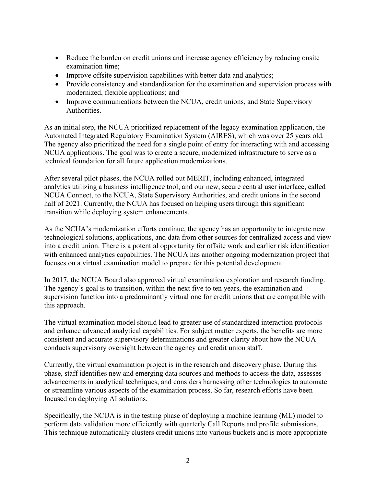- Reduce the burden on credit unions and increase agency efficiency by reducing onsite examination time;
- Improve offsite supervision capabilities with better data and analytics;
- Provide consistency and standardization for the examination and supervision process with modernized, flexible applications; and
- Improve communications between the NCUA, credit unions, and State Supervisory Authorities.

As an initial step, the NCUA prioritized replacement of the legacy examination application, the Automated Integrated Regulatory Examination System (AIRES), which was over 25 years old. The agency also prioritized the need for a single point of entry for interacting with and accessing NCUA applications. The goal was to create a secure, modernized infrastructure to serve as a technical foundation for all future application modernizations.

After several pilot phases, the NCUA rolled out MERIT, including enhanced, integrated analytics utilizing a business intelligence tool, and our new, secure central user interface, called NCUA Connect, to the NCUA, State Supervisory Authorities, and credit unions in the second half of 2021. Currently, the NCUA has focused on helping users through this significant transition while deploying system enhancements.

As the NCUA's modernization efforts continue, the agency has an opportunity to integrate new technological solutions, applications, and data from other sources for centralized access and view into a credit union. There is a potential opportunity for offsite work and earlier risk identification with enhanced analytics capabilities. The NCUA has another ongoing modernization project that focuses on a virtual examination model to prepare for this potential development.

In 2017, the NCUA Board also approved virtual examination exploration and research funding. The agency's goal is to transition, within the next five to ten years, the examination and supervision function into a predominantly virtual one for credit unions that are compatible with this approach.

The virtual examination model should lead to greater use of standardized interaction protocols and enhance advanced analytical capabilities. For subject matter experts, the benefits are more consistent and accurate supervisory determinations and greater clarity about how the NCUA conducts supervisory oversight between the agency and credit union staff.

Currently, the virtual examination project is in the research and discovery phase. During this phase, staff identifies new and emerging data sources and methods to access the data, assesses advancements in analytical techniques, and considers harnessing other technologies to automate or streamline various aspects of the examination process. So far, research efforts have been focused on deploying AI solutions.

Specifically, the NCUA is in the testing phase of deploying a machine learning (ML) model to perform data validation more efficiently with quarterly Call Reports and profile submissions. This technique automatically clusters credit unions into various buckets and is more appropriate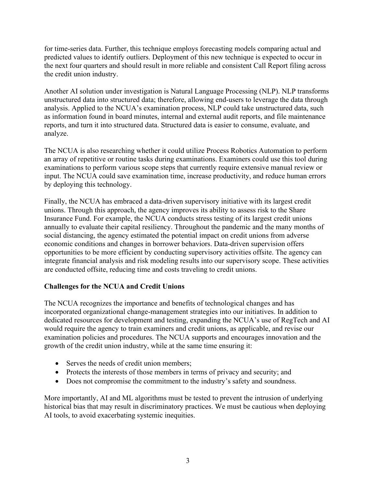for time-series data. Further, this technique employs forecasting models comparing actual and predicted values to identify outliers. Deployment of this new technique is expected to occur in the next four quarters and should result in more reliable and consistent Call Report filing across the credit union industry.

Another AI solution under investigation is Natural Language Processing (NLP). NLP transforms unstructured data into structured data; therefore, allowing end-users to leverage the data through analysis. Applied to the NCUA's examination process, NLP could take unstructured data, such as information found in board minutes, internal and external audit reports, and file maintenance reports, and turn it into structured data. Structured data is easier to consume, evaluate, and analyze.

The NCUA is also researching whether it could utilize Process Robotics Automation to perform an array of repetitive or routine tasks during examinations. Examiners could use this tool during examinations to perform various scope steps that currently require extensive manual review or input. The NCUA could save examination time, increase productivity, and reduce human errors by deploying this technology.

Finally, the NCUA has embraced a data-driven supervisory initiative with its largest credit unions. Through this approach, the agency improves its ability to assess risk to the Share Insurance Fund. For example, the NCUA conducts stress testing of its largest credit unions annually to evaluate their capital resiliency. Throughout the pandemic and the many months of social distancing, the agency estimated the potential impact on credit unions from adverse economic conditions and changes in borrower behaviors. Data-driven supervision offers opportunities to be more efficient by conducting supervisory activities offsite. The agency can integrate financial analysis and risk modeling results into our supervisory scope. These activities are conducted offsite, reducing time and costs traveling to credit unions.

### **Challenges for the NCUA and Credit Unions**

The NCUA recognizes the importance and benefits of technological changes and has incorporated organizational change-management strategies into our initiatives. In addition to dedicated resources for development and testing, expanding the NCUA's use of RegTech and AI would require the agency to train examiners and credit unions, as applicable, and revise our examination policies and procedures. The NCUA supports and encourages innovation and the growth of the credit union industry, while at the same time ensuring it:

- Serves the needs of credit union members:
- Protects the interests of those members in terms of privacy and security; and
- Does not compromise the commitment to the industry's safety and soundness.

More importantly, AI and ML algorithms must be tested to prevent the intrusion of underlying historical bias that may result in discriminatory practices. We must be cautious when deploying AI tools, to avoid exacerbating systemic inequities.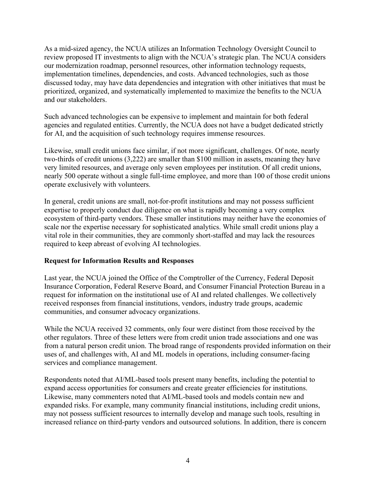As a mid-sized agency, the NCUA utilizes an Information Technology Oversight Council to review proposed IT investments to align with the NCUA's strategic plan. The NCUA considers our modernization roadmap, personnel resources, other information technology requests, implementation timelines, dependencies, and costs. Advanced technologies, such as those discussed today, may have data dependencies and integration with other initiatives that must be prioritized, organized, and systematically implemented to maximize the benefits to the NCUA and our stakeholders.

Such advanced technologies can be expensive to implement and maintain for both federal agencies and regulated entities. Currently, the NCUA does not have a budget dedicated strictly for AI, and the acquisition of such technology requires immense resources.

Likewise, small credit unions face similar, if not more significant, challenges. Of note, nearly two-thirds of credit unions (3,222) are smaller than \$100 million in assets, meaning they have very limited resources, and average only seven employees per institution. Of all credit unions, nearly 500 operate without a single full-time employee, and more than 100 of those credit unions operate exclusively with volunteers.

In general, credit unions are small, not-for-profit institutions and may not possess sufficient expertise to properly conduct due diligence on what is rapidly becoming a very complex ecosystem of third-party vendors. These smaller institutions may neither have the economies of scale nor the expertise necessary for sophisticated analytics. While small credit unions play a vital role in their communities, they are commonly short-staffed and may lack the resources required to keep abreast of evolving AI technologies.

### **Request for Information Results and Responses**

Last year, the NCUA joined the Office of the Comptroller of the Currency, Federal Deposit Insurance Corporation, Federal Reserve Board, and Consumer Financial Protection Bureau in a request for information on the institutional use of AI and related challenges. We collectively received responses from financial institutions, vendors, industry trade groups, academic communities, and consumer advocacy organizations.

While the NCUA received 32 comments, only four were distinct from those received by the other regulators. Three of these letters were from credit union trade associations and one was from a natural person credit union. The broad range of respondents provided information on their uses of, and challenges with, AI and ML models in operations, including consumer-facing services and compliance management.

Respondents noted that AI/ML-based tools present many benefits, including the potential to expand access opportunities for consumers and create greater efficiencies for institutions. Likewise, many commenters noted that AI/ML-based tools and models contain new and expanded risks. For example, many community financial institutions, including credit unions, may not possess sufficient resources to internally develop and manage such tools, resulting in increased reliance on third-party vendors and outsourced solutions. In addition, there is concern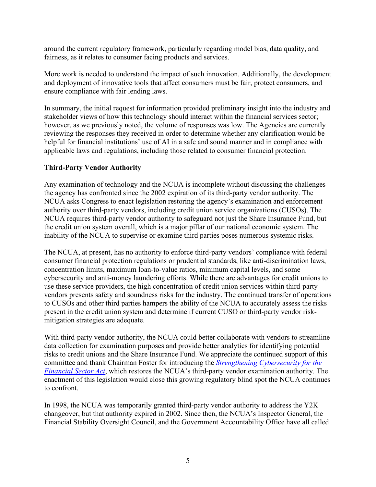around the current regulatory framework, particularly regarding model bias, data quality, and fairness, as it relates to consumer facing products and services.

More work is needed to understand the impact of such innovation. Additionally, the development and deployment of innovative tools that affect consumers must be fair, protect consumers, and ensure compliance with fair lending laws.

In summary, the initial request for information provided preliminary insight into the industry and stakeholder views of how this technology should interact within the financial services sector; however, as we previously noted, the volume of responses was low. The Agencies are currently reviewing the responses they received in order to determine whether any clarification would be helpful for financial institutions' use of AI in a safe and sound manner and in compliance with applicable laws and regulations, including those related to consumer financial protection.

# **Third-Party Vendor Authority**

Any examination of technology and the NCUA is incomplete without discussing the challenges the agency has confronted since the 2002 expiration of its third-party vendor authority. The NCUA asks Congress to enact legislation restoring the agency's examination and enforcement authority over third-party vendors, including credit union service organizations (CUSOs). The NCUA requires third-party vendor authority to safeguard not just the Share Insurance Fund, but the credit union system overall, which is a major pillar of our national economic system. The inability of the NCUA to supervise or examine third parties poses numerous systemic risks.

The NCUA, at present, has no authority to enforce third-party vendors' compliance with federal consumer financial protection regulations or prudential standards, like anti-discrimination laws, concentration limits, maximum loan-to-value ratios, minimum capital levels, and some cybersecurity and anti-money laundering efforts. While there are advantages for credit unions to use these service providers, the high concentration of credit union services within third-party vendors presents safety and soundness risks for the industry. The continued transfer of operations to CUSOs and other third parties hampers the ability of the NCUA to accurately assess the risks present in the credit union system and determine if current CUSO or third-party vendor riskmitigation strategies are adequate.

With third-party vendor authority, the NCUA could better collaborate with vendors to streamline data collection for examination purposes and provide better analytics for identifying potential risks to credit unions and the Share Insurance Fund. We appreciate the continued support of this committee and thank Chairman Foster for introducing the *[Strengthening Cybersecurity for the](https://financialservices.house.gov/uploadedfiles/bills-117pih-thestrengtheningcybersecurityforthefinancialsector.pdf)  [Financial Sector Act](https://financialservices.house.gov/uploadedfiles/bills-117pih-thestrengtheningcybersecurityforthefinancialsector.pdf)*, which restores the NCUA's third-party vendor examination authority. The enactment of this legislation would close this growing regulatory blind spot the NCUA continues to confront.

In 1998, the NCUA was temporarily granted third-party vendor authority to address the Y2K changeover, but that authority expired in 2002. Since then, the NCUA's Inspector General, the Financial Stability Oversight Council, and the Government Accountability Office have all called